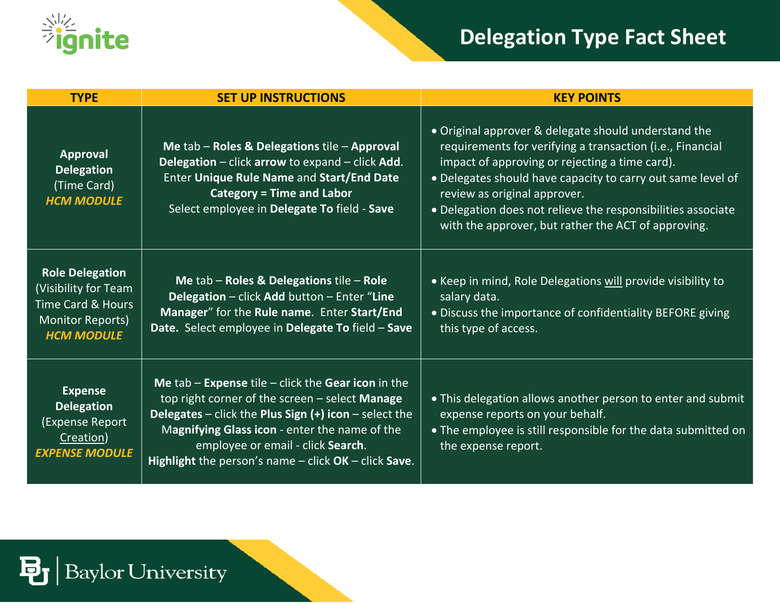

## **Delegation Type Fact Sheet**

| <b>TYPE</b>                                                                                                             | <b>SET UP INSTRUCTIONS</b>                                                                                                                                                                                                                                                                                          | <b>KEY POINTS</b>                                                                                                                                                                                                                                                                                                                                                                         |
|-------------------------------------------------------------------------------------------------------------------------|---------------------------------------------------------------------------------------------------------------------------------------------------------------------------------------------------------------------------------------------------------------------------------------------------------------------|-------------------------------------------------------------------------------------------------------------------------------------------------------------------------------------------------------------------------------------------------------------------------------------------------------------------------------------------------------------------------------------------|
| Approval<br><b>Delegation</b><br>(Time Card)<br><b>HCM MODULE</b>                                                       | Me tab - Roles & Delegations tile - Approval<br>Delegation - click arrow to expand - click Add.<br>Enter Unique Rule Name and Start/End Date<br><b>Category = Time and Labor</b><br>Select employee in Delegate To field - Save                                                                                     | • Original approver & delegate should understand the<br>requirements for verifying a transaction (i.e., Financial<br>impact of approving or rejecting a time card).<br>• Delegates should have capacity to carry out same level of<br>review as original approver.<br>• Delegation does not relieve the responsibilities associate<br>with the approver, but rather the ACT of approving. |
| <b>Role Delegation</b><br>(Visibility for Team<br><b>Time Card &amp; Hours</b><br>Monitor Reports)<br><b>HCM MODULE</b> | Me $tab - \text{Roles}$ & Delegations tile - Role<br>Delegation - click Add button - Enter "Line<br>Manager" for the Rule name. Enter Start/End<br>Date. Select employee in Delegate To field - Save                                                                                                                | • Keep in mind, Role Delegations will provide visibility to<br>salary data.<br>• Discuss the importance of confidentiality BEFORE giving<br>this type of access.                                                                                                                                                                                                                          |
| <b>Expense</b><br><b>Delegation</b><br>(Expense Report<br>Creation)<br><b>EXPENSE MODULE</b>                            | Me $tab$ – Expense tile – click the Gear icon in the<br>top right corner of the screen - select Manage<br>Delegates – click the Plus Sign $(+)$ icon – select the<br>Magnifying Glass icon - enter the name of the<br>employee or email - click Search.<br>Highlight the person's name $-$ click OK $-$ click Save. | • This delegation allows another person to enter and submit<br>expense reports on your behalf.<br>• The employee is still responsible for the data submitted on<br>the expense report.                                                                                                                                                                                                    |